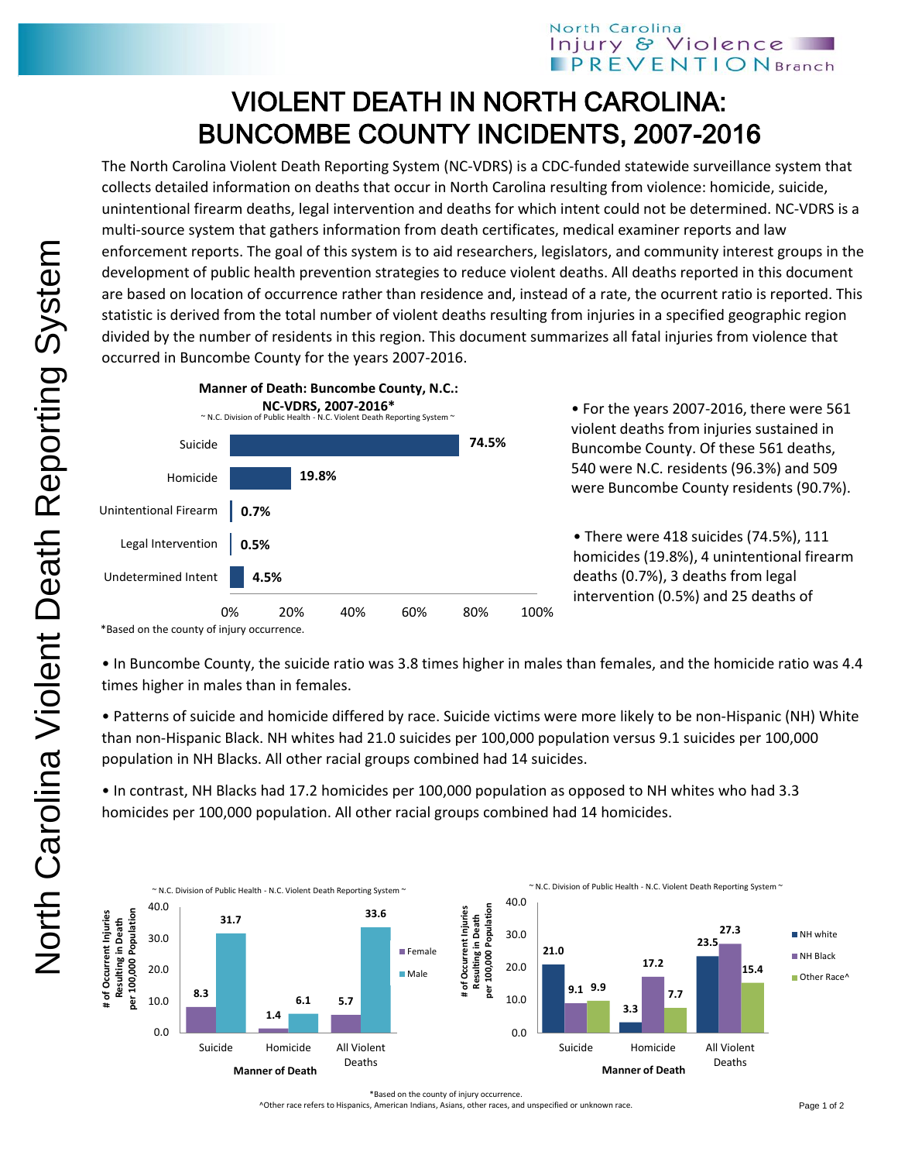## North Carolina Injury & Violence **PREVENTION** Branch

## VIOLENT DEATH IN NORTH CAROLINA: BUNCOMBE COUNTY INCIDENTS, 2007-2016

The North Carolina Violent Death Reporting System (NC-VDRS) is a CDC-funded statewide surveillance system that collects detailed information on deaths that occur in North Carolina resulting from violence: homicide, suicide, unintentional firearm deaths, legal intervention and deaths for which intent could not be determined. NC-VDRS is a multi-source system that gathers information from death certificates, medical examiner reports and law enforcement reports. The goal of this system is to aid researchers, legislators, and community interest groups in the development of public health prevention strategies to reduce violent deaths. All deaths reported in this document are based on location of occurrence rather than residence and, instead of a rate, the ocurrent ratio is reported. This statistic is derived from the total number of violent deaths resulting from injuries in a specified geographic region divided by the number of residents in this region. This document summarizes all fatal injuries from violence that occurred in Buncombe County for the years 2007-2016.



• For the years 2007-2016, there were 561 violent deaths from injuries sustained in Buncombe County. Of these 561 deaths, 540 were N.C. residents (96.3%) and 509 were Buncombe County residents (90.7%).

• There were 418 suicides (74.5%), 111 homicides (19.8%), 4 unintentional firearm deaths (0.7%), 3 deaths from legal intervention (0.5%) and 25 deaths of

\*Based on the county of injury occurrence.

• In Buncombe County, the suicide ratio was 3.8 times higher in males than females, and the homicide ratio was 4.4 times higher in males than in females.

• Patterns of suicide and homicide differed by race. Suicide victims were more likely to be non-Hispanic (NH) White than non-Hispanic Black. NH whites had 21.0 suicides per 100,000 population versus 9.1 suicides per 100,000 population in NH Blacks. All other racial groups combined had 14 suicides.

• In contrast, NH Blacks had 17.2 homicides per 100,000 population as opposed to NH whites who had 3.3 homicides per 100,000 population. All other racial groups combined had 14 homicides.



^Other race refers to Hispanics, American Indians, Asians, other races, and unspecified or unknown race.